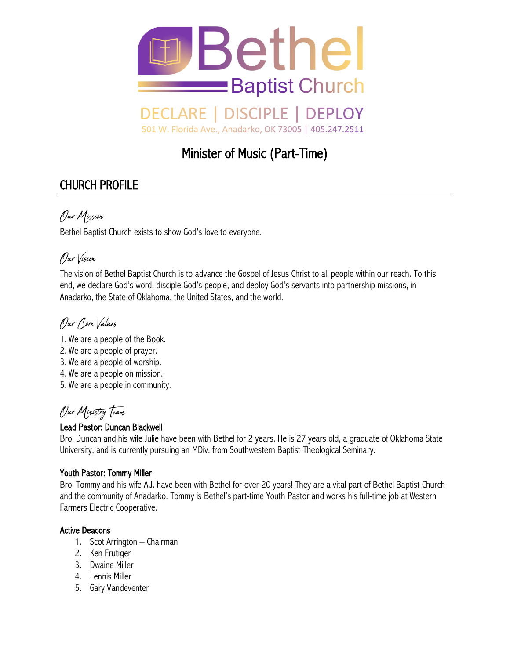

#### **DECLARE** | DISCIPLE | DEPLOY

501 W. Florida Ave., Anadarko, OK 73005 | 405.247.2511

# Minister of Music (Part-Time)

## CHURCH PROFILE

### Our Mission

Bethel Baptist Church exists to show God's love to everyone.

## Our Vision

The vision of Bethel Baptist Church is to advance the Gospel of Jesus Christ to all people within our reach. To this end, we declare God's word, disciple God's people, and deploy God's servants into partnership missions, in Anadarko, the State of Oklahoma, the United States, and the world.

# Pur *Pore* Values

- 1. We are a people of the Book.
- 2. We are a people of prayer.
- 3. We are a people of worship.
- 4. We are a people on mission.
- 5. We are a people in community.

# Our Ministry Team

### Lead Pastor: Duncan Blackwell

Bro. Duncan and his wife Julie have been with Bethel for 2 years. He is 27 years old, a graduate of Oklahoma State University, and is currently pursuing an MDiv. from Southwestern Baptist Theological Seminary.

### Youth Pastor: Tommy Miller

Bro. Tommy and his wife A.J. have been with Bethel for over 20 years! They are a vital part of Bethel Baptist Church and the community of Anadarko. Tommy is Bethel's part-time Youth Pastor and works his full-time job at Western Farmers Electric Cooperative.

#### Active Deacons

- 1. Scot Arrington Chairman
- 2. Ken Frutiger
- 3. Dwaine Miller
- 4. Lennis Miller
- 5. Gary Vandeventer